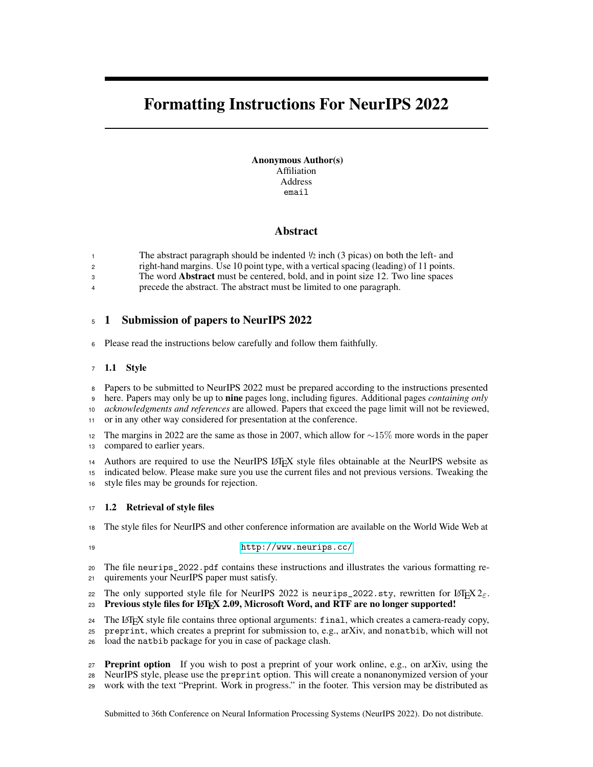# Formatting Instructions For NeurIPS 2022

Anonymous Author(s) Affiliation Address email

## Abstract

| The abstract paragraph should be indented $\frac{1}{2}$ inch (3 picas) on both the left- and             |
|----------------------------------------------------------------------------------------------------------|
| abelet lean d'accordine. Il les 10 a clut trace critie à creation l'accordine (les din e) a f.11 a clute |

- <sup>2</sup> right-hand margins. Use 10 point type, with a vertical spacing (leading) of 11 points. <sup>3</sup> The word Abstract must be centered, bold, and in point size 12. Two line spaces
- <sup>4</sup> precede the abstract. The abstract must be limited to one paragraph.

## <sup>5</sup> 1 Submission of papers to NeurIPS 2022

<sup>6</sup> Please read the instructions below carefully and follow them faithfully.

#### <sup>7</sup> 1.1 Style

<sup>8</sup> Papers to be submitted to NeurIPS 2022 must be prepared according to the instructions presented

<sup>9</sup> here. Papers may only be up to nine pages long, including figures. Additional pages *containing only* <sup>10</sup> *acknowledgments and references* are allowed. Papers that exceed the page limit will not be reviewed,

<sup>11</sup> or in any other way considered for presentation at the conference.

12 The margins in 2022 are the same as those in 2007, which allow for  $\sim$ 15% more words in the paper <sup>13</sup> compared to earlier years.

14 Authors are required to use the NeurIPS LATEX style files obtainable at the NeurIPS website as<br>15 indicated below. Please make sure you use the current files and not previous versions. Tweaking the

indicated below. Please make sure you use the current files and not previous versions. Tweaking the <sup>16</sup> style files may be grounds for rejection.

#### <sup>17</sup> 1.2 Retrieval of style files

<sup>18</sup> The style files for NeurIPS and other conference information are available on the World Wide Web at

<sup>19</sup> <http://www.neurips.cc/>

<sup>20</sup> The file neurips\_2022.pdf contains these instructions and illustrates the various formatting re-<sup>21</sup> quirements your NeurIPS paper must satisfy.

22 The only supported style file for NeurIPS 2022 is neurips\_2022.sty, rewritten for LATEX  $2\varepsilon$ .<br>23 Previous style files for LATEX 2.09. Microsoft Word, and RTF are no longer supported!

## Previous style files for LATEX 2.09, Microsoft Word, and RTF are no longer supported!

24 The LATEX style file contains three optional arguments: final, which creates a camera-ready copy,<br>25 preprint, which creates a preprint for submission to, e.g., arXiv, and nonathib, which will not

preprint, which creates a preprint for submission to, e.g., arXiv, and nonatbib, which will not

<sup>26</sup> load the natbib package for you in case of package clash.

27 **Preprint option** If you wish to post a preprint of your work online, e.g., on arXiv, using the <sup>28</sup> NeurIPS style, please use the preprint option. This will create a nonanonymized version of your <sup>29</sup> work with the text "Preprint. Work in progress." in the footer. This version may be distributed as

Submitted to 36th Conference on Neural Information Processing Systems (NeurIPS 2022). Do not distribute.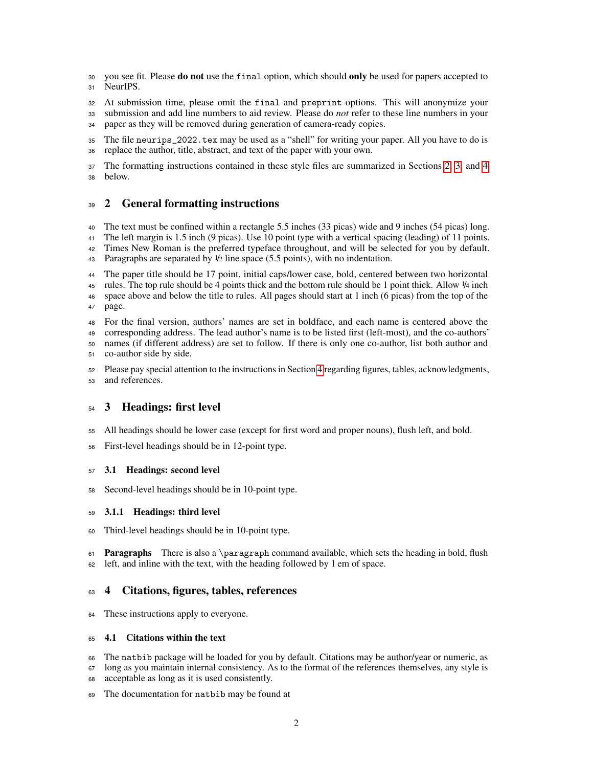30 you see fit. Please **do not** use the final option, which should **only** be used for papers accepted to 31 NeurIPS.

At submission time, please omit the final and preprint options. This will anonymize your

submission and add line numbers to aid review. Please do *not* refer to these line numbers in your

paper as they will be removed during generation of camera-ready copies.

 The file neurips\_2022.tex may be used as a "shell" for writing your paper. All you have to do is replace the author, title, abstract, and text of the paper with your own.

 The formatting instructions contained in these style files are summarized in Sections [2,](#page-1-0) [3,](#page-1-1) and [4](#page-1-2) below.

## <span id="page-1-0"></span>2 General formatting instructions

 The text must be confined within a rectangle 5.5 inches (33 picas) wide and 9 inches (54 picas) long. The left margin is 1.5 inch (9 picas). Use 10 point type with a vertical spacing (leading) of 11 points. Times New Roman is the preferred typeface throughout, and will be selected for you by default.

43 Paragraphs are separated by  $\frac{1}{2}$  line space (5.5 points), with no indentation.

 The paper title should be 17 point, initial caps/lower case, bold, centered between two horizontal 45 rules. The top rule should be 4 points thick and the bottom rule should be 1 point thick. Allow  $\frac{1}{4}$  inch space above and below the title to rules. All pages should start at 1 inch (6 picas) from the top of the page.

 For the final version, authors' names are set in boldface, and each name is centered above the corresponding address. The lead author's name is to be listed first (left-most), and the co-authors'

names (if different address) are set to follow. If there is only one co-author, list both author and

co-author side by side.

 Please pay special attention to the instructions in Section [4](#page-1-2) regarding figures, tables, acknowledgments, and references.

## <span id="page-1-1"></span>3 Headings: first level

- All headings should be lower case (except for first word and proper nouns), flush left, and bold.
- First-level headings should be in 12-point type.

#### 3.1 Headings: second level

Second-level headings should be in 10-point type.

#### 3.1.1 Headings: third level

Third-level headings should be in 10-point type.

61 Paragraphs There is also a \paragraph command available, which sets the heading in bold, flush left, and inline with the text, with the heading followed by 1 em of space.

## <span id="page-1-2"></span>4 Citations, figures, tables, references

These instructions apply to everyone.

#### 4.1 Citations within the text

- The natbib package will be loaded for you by default. Citations may be author/year or numeric, as
- long as you maintain internal consistency. As to the format of the references themselves, any style is acceptable as long as it is used consistently.
- The documentation for natbib may be found at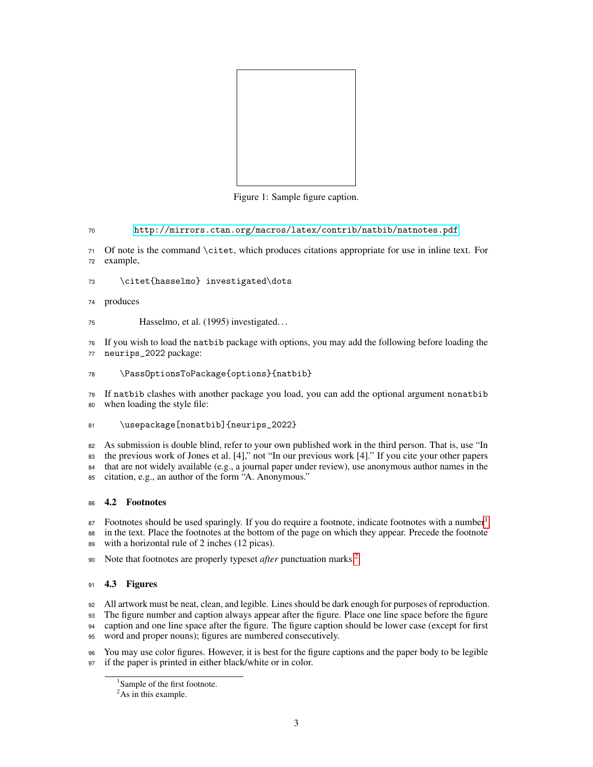

Figure 1: Sample figure caption.

<http://mirrors.ctan.org/macros/latex/contrib/natbib/natnotes.pdf>

 Of note is the command \citet, which produces citations appropriate for use in inline text. For example,

- \citet{hasselmo} investigated\dots
- produces

Hasselmo, et al. (1995) investigated. . .

 If you wish to load the natbib package with options, you may add the following before loading the neurips\_2022 package:

\PassOptionsToPackage{options}{natbib}

 If natbib clashes with another package you load, you can add the optional argument nonatbib when loading the style file:

81 \usepackage[nonatbib]{neurips\_2022}

 As submission is double blind, refer to your own published work in the third person. That is, use "In the previous work of Jones et al. [4]," not "In our previous work [4]." If you cite your other papers that are not widely available (e.g., a journal paper under review), use anonymous author names in the citation, e.g., an author of the form "A. Anonymous."

## 4.2 Footnotes

Footnotes should be used sparingly. If you do require a footnote, indicate footnotes with a number<sup>[1](#page-2-0)</sup> 

 in the text. Place the footnotes at the bottom of the page on which they appear. Precede the footnote with a horizontal rule of 2 inches (12 picas).

Note that footnotes are properly typeset *after* punctuation marks.[2](#page-2-1) 

## 4.3 Figures

All artwork must be neat, clean, and legible. Lines should be dark enough for purposes of reproduction.

93 The figure number and caption always appear after the figure. Place one line space before the figure caption and one line space after the figure. The figure caption should be lower case (except for first

word and proper nouns); figures are numbered consecutively.

 You may use color figures. However, it is best for the figure captions and the paper body to be legible if the paper is printed in either black/white or in color.

<span id="page-2-1"></span><sup>2</sup>As in this example.

<span id="page-2-0"></span><sup>&</sup>lt;sup>1</sup>Sample of the first footnote.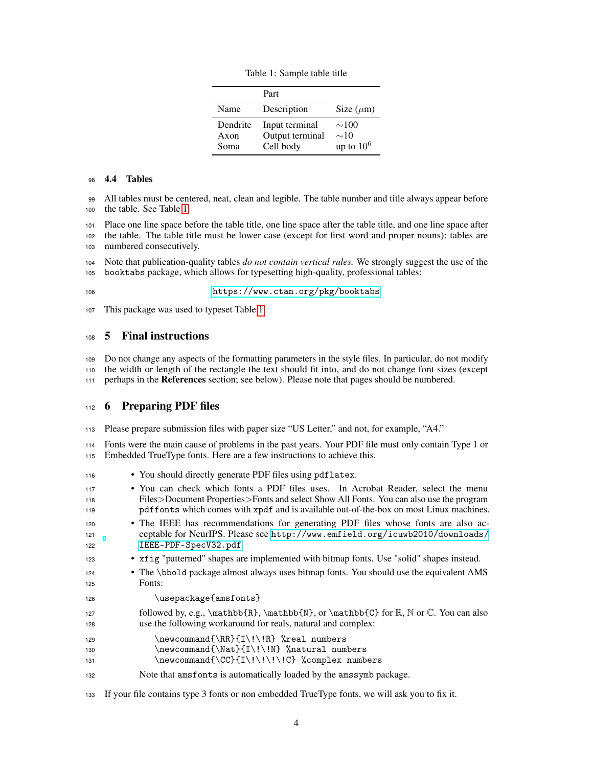<span id="page-3-0"></span>Table 1: Sample table title

|                          | Part                                           |                                         |
|--------------------------|------------------------------------------------|-----------------------------------------|
| Name                     | Description                                    | Size $(\mu m)$                          |
| Dendrite<br>Axon<br>Soma | Input terminal<br>Output terminal<br>Cell body | $\sim 100$<br>$\sim$ 10<br>up to $10^6$ |

#### 4.4 Tables

 All tables must be centered, neat, clean and legible. The table number and title always appear before the table. See Table [1.](#page-3-0)

 Place one line space before the table title, one line space after the table title, and one line space after the table. The table title must be lower case (except for first word and proper nouns); tables are numbered consecutively.

 Note that publication-quality tables *do not contain vertical rules.* We strongly suggest the use of the booktabs package, which allows for typesetting high-quality, professional tables:

<https://www.ctan.org/pkg/booktabs>

This package was used to typeset Table [1.](#page-3-0)

## 5 Final instructions

 Do not change any aspects of the formatting parameters in the style files. In particular, do not modify the width or length of the rectangle the text should fit into, and do not change font sizes (except

perhaps in the References section; see below). Please note that pages should be numbered.

#### 6 Preparing PDF files

Please prepare submission files with paper size "US Letter," and not, for example, "A4."

 Fonts were the main cause of problems in the past years. Your PDF file must only contain Type 1 or Embedded TrueType fonts. Here are a few instructions to achieve this.

- You should directly generate PDF files using pdflatex. • You can check which fonts a PDF files uses. In Acrobat Reader, select the menu Files>Document Properties>Fonts and select Show All Fonts. You can also use the program pdffonts which comes with xpdf and is available out-of-the-box on most Linux machines. • The IEEE has recommendations for generating PDF files whose fonts are also ac- ceptable for NeurIPS. Please see [http://www.emfield.org/icuwb2010/downloads/](http://www.emfield.org/icuwb2010/downloads/IEEE-PDF-SpecV32.pdf) [IEEE-PDF-SpecV32.pdf](http://www.emfield.org/icuwb2010/downloads/IEEE-PDF-SpecV32.pdf) • xfig "patterned" shapes are implemented with bitmap fonts. Use "solid" shapes instead. • The \bbold package almost always uses bitmap fonts. You should use the equivalent AMS Fonts: 126 \usepackage{amsfonts} 127 followed by, e.g.,  $\mathbb{R}, \mathbb{N},$  or  $\mathbb{C}$  for  $\mathbb{R}, \mathbb{C}$  for  $\mathbb{R}$ ,  $\mathbb{C}$  for  $\mathbb{R}$ ,  $\mathbb{C}$  for  $\mathbb{R}$ ,  $\mathbb{C}$  use the following workaround for reals, natural and complex: 129 \newcommand{\RR}{I\!\!R} %real numbers 130 \newcommand{\Nat}{I\!\!N} %natural numbers 131 \newcommand{\CC}{I\!\!\!\!C} %complex numbers Note that amsfonts is automatically loaded by the amssymb package.
- If your file contains type 3 fonts or non embedded TrueType fonts, we will ask you to fix it.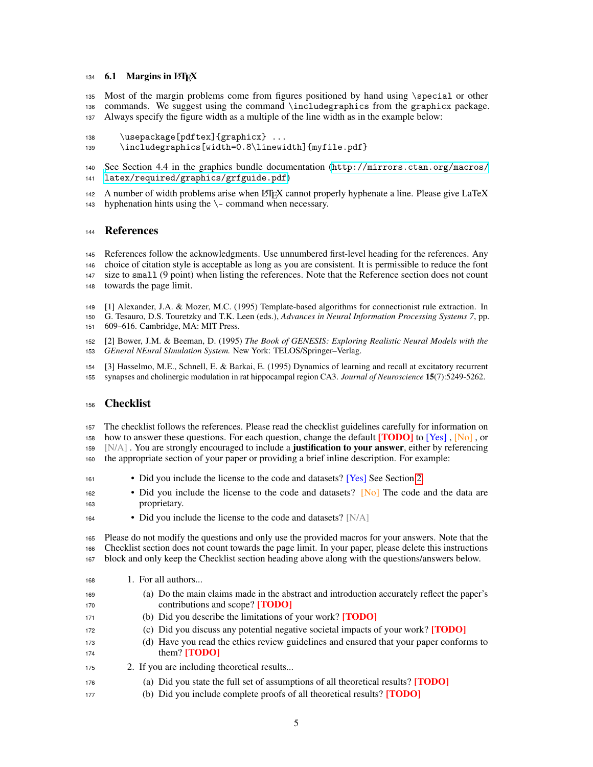#### 6.1 Margins in L<sup>4</sup>T<sub>E</sub>X

 Most of the margin problems come from figures positioned by hand using \special or other commands. We suggest using the command \includegraphics from the graphicx package. Always specify the figure width as a multiple of the line width as in the example below:

- 138 \usepackage[pdftex]{graphicx} ...
- 139 \includegraphics[width=0.8\linewidth]{myfile.pdf}

 [S](http://mirrors.ctan.org/macros/latex/required/graphics/grfguide.pdf)ee Section 4.4 in the graphics bundle documentation ([http://mirrors.ctan.org/macros/](http://mirrors.ctan.org/macros/latex/required/graphics/grfguide.pdf) [latex/required/graphics/grfguide.pdf](http://mirrors.ctan.org/macros/latex/required/graphics/grfguide.pdf))

142 A number of width problems arise when  $\Delta E[X]$  cannot properly hyphenate a line. Please give LaTeX hyphenation hints using the  $\lambda$ - command when necessary. hyphenation hints using the  $\setminus$ - command when necessary.

#### References

References follow the acknowledgments. Use unnumbered first-level heading for the references. Any

 choice of citation style is acceptable as long as you are consistent. It is permissible to reduce the font size to small (9 point) when listing the references. Note that the Reference section does not count

- towards the page limit.
- [1] Alexander, J.A. & Mozer, M.C. (1995) Template-based algorithms for connectionist rule extraction. In
- G. Tesauro, D.S. Touretzky and T.K. Leen (eds.), *Advances in Neural Information Processing Systems 7*, pp. 609–616. Cambridge, MA: MIT Press.
- [2] Bower, J.M. & Beeman, D. (1995) *The Book of GENESIS: Exploring Realistic Neural Models with the GEneral NEural SImulation System.* New York: TELOS/Springer–Verlag.

 [3] Hasselmo, M.E., Schnell, E. & Barkai, E. (1995) Dynamics of learning and recall at excitatory recurrent synapses and cholinergic modulation in rat hippocampal region CA3. *Journal of Neuroscience* 15(7):5249-5262.

## Checklist

The checklist follows the references. Please read the checklist guidelines carefully for information on

158 how to answer these questions. For each question, change the default  $[TODO]$  to  $[Yes]$ ,  $[No]$ , or

159 [N/A]. You are strongly encouraged to include a **justification to your answer**, either by referencing

the appropriate section of your paper or providing a brief inline description. For example:

- Did you include the license to the code and datasets? [Yes] See Section [2.](#page-1-0)
- <sup>162</sup> Did you include the license to the code and datasets? [No] The code and the data are proprietary.
- <sup>164</sup> Did you include the license to the code and datasets? [N/A]

 Please do not modify the questions and only use the provided macros for your answers. Note that the Checklist section does not count towards the page limit. In your paper, please delete this instructions block and only keep the Checklist section heading above along with the questions/answers below.

1. For all authors...

| 169 | (a) Do the main claims made in the abstract and introduction accurately reflect the paper's |
|-----|---------------------------------------------------------------------------------------------|
| 170 | contributions and scope? <b>[TODO]</b>                                                      |

- 171 (b) Did you describe the limitations of your work? [**TODO**]
- (c) Did you discuss any potential negative societal impacts of your work? [TODO]
- (d) Have you read the ethics review guidelines and ensured that your paper conforms to 174 them? **[TODO]**
- 2. If you are including theoretical results...
- (a) Did you state the full set of assumptions of all theoretical results? [TODO]
- (b) Did you include complete proofs of all theoretical results? [TODO]